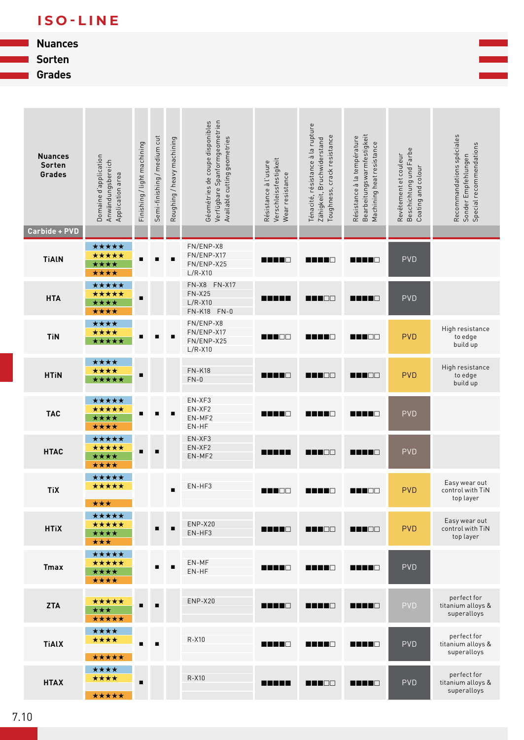## **ISO-LINE**

## **Nuances**

**Sorten**

**Grades**



| <b>Nuances</b><br>Sorten<br>Grades | Domaine d'application<br>Anwändungsbereich<br>Application area | Finishing / light machining | Semi-finishing / medium cut | Roughing / heavy machining | Verfügbare Spanformgeometrien<br>Géométries de coupe disponibles<br>Available cutting geometries | Verschleissfestigkeit<br>Résistance à l'usure<br>Wear resistance | Ténacité, résistance à la rupture<br>Toughness, crack resistance<br>Zähigkeit, Bruchwiderstand | Bearbeitungswarmfestigkeit<br>Résistance à la température<br>Machining heat resistance | Beschichtung und Farbe<br>Revêtement et couleur<br>Coating and colour | Recommandations spéciales<br>Special recommendations<br>Sonder Empfehlungen |
|------------------------------------|----------------------------------------------------------------|-----------------------------|-----------------------------|----------------------------|--------------------------------------------------------------------------------------------------|------------------------------------------------------------------|------------------------------------------------------------------------------------------------|----------------------------------------------------------------------------------------|-----------------------------------------------------------------------|-----------------------------------------------------------------------------|
| <b>Carbide + PVD</b>               |                                                                |                             |                             |                            |                                                                                                  |                                                                  |                                                                                                |                                                                                        |                                                                       |                                                                             |
| <b>TiAIN</b>                       | *****<br>*****<br>****<br>****                                 | п                           |                             | $\blacksquare$             | FN/ENP-X8<br>FN/ENP-X17<br>FN/ENP-X25<br>$L/R - X10$                                             | n din B                                                          | <b>RENTO</b>                                                                                   | <b>REBED</b>                                                                           | <b>PVD</b>                                                            |                                                                             |
| <b>HTA</b>                         | *****<br>*****<br>****<br>****                                 | п                           |                             |                            | FN-X8 FN-X17<br>$FN-X25$<br>$L/R - X10$<br>FN-K18 FN-0                                           | n na ma                                                          | <b>REFER</b>                                                                                   | <b>RENTO</b>                                                                           | <b>PVD</b>                                                            |                                                                             |
| <b>TiN</b>                         | ****<br>****<br>*****                                          |                             |                             |                            | FN/ENP-X8<br>FN/ENP-X17<br>FN/ENP-X25<br>$L/R - X10$                                             | n na Be                                                          | <b>REFER</b>                                                                                   | <b>RANDE</b>                                                                           | <b>PVD</b>                                                            | High resistance<br>to edge<br>build up                                      |
| <b>HTIN</b>                        | ****<br>****<br>*****                                          | $\blacksquare$              |                             |                            | <b>FN-K18</b><br>$FN-0$                                                                          | n na ma                                                          | n na man                                                                                       | <b>REBERT</b>                                                                          | <b>PVD</b>                                                            | High resistance<br>to edge<br>build up                                      |
| <b>TAC</b>                         | *****<br>*****<br>****<br>****                                 |                             |                             | п                          | EN-XF3<br>EN-XF2<br>EN-MF2<br>EN-HF                                                              | n na na                                                          | <b>RENTO</b>                                                                                   | <b>RANTO</b>                                                                           | <b>PVD</b>                                                            |                                                                             |
| <b>HTAC</b>                        | *****<br>*****<br>****<br>****                                 | п                           |                             |                            | EN-XF3<br>EN-XF2<br>EN-MF2                                                                       | n na ma                                                          | <b>REFER</b>                                                                                   | <b>REBEC</b>                                                                           | <b>PVD</b>                                                            |                                                                             |
| <b>TiX</b>                         | *****<br>*****<br>***                                          |                             |                             | п                          | EN-HF3                                                                                           | <b>REFOR</b>                                                     | n na na                                                                                        | n na Be                                                                                | <b>PVD</b>                                                            | Easy wear out<br>control with TiN<br>top layer                              |
| <b>HTiX</b>                        | *****<br>*****<br>****<br>***                                  |                             | г                           | п                          | ENP-X20<br>EN-HF3                                                                                | nn na B                                                          | <b>REBED</b>                                                                                   | <b>MANDO</b>                                                                           | <b>PVD</b>                                                            | Easy wear out<br>control with TiN<br>top layer                              |
| <b>Tmax</b>                        | *****<br>*****<br>****<br>****                                 |                             |                             | п                          | EN-MF<br>EN-HF                                                                                   | <b>REBED</b>                                                     | <b>RENE 8</b>                                                                                  | <b>REBEC</b>                                                                           | <b>PVD</b>                                                            |                                                                             |
| <b>ZTA</b>                         | *****<br><b>xxx</b><br>*****                                   |                             |                             |                            | ENP-X20                                                                                          | n na ma                                                          | n 11 0                                                                                         | <b>REBER</b>                                                                           | <b>PVD</b>                                                            | perfect for<br>titanium alloys &<br>superalloys                             |
| <b>TiAlX</b>                       | ****<br>****<br>*****                                          | $\blacksquare$              | $\blacksquare$              |                            | R-X10                                                                                            | <b>REBEC</b>                                                     | <b>REBEC</b>                                                                                   | <b>REBED</b>                                                                           | <b>PVD</b>                                                            | perfect for<br>titanium alloys &<br>superalloys                             |
| <b>HTAX</b>                        | ****<br>****<br>*****                                          | $\blacksquare$              |                             |                            | R-X10                                                                                            | n na ma                                                          | <b>READE</b>                                                                                   | <b>REBEC</b>                                                                           | <b>PVD</b>                                                            | perfect for<br>titanium alloys &<br>superalloys                             |